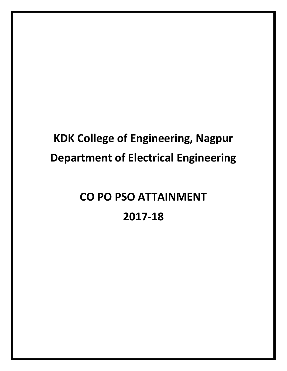## **KDK College of Engineering, Nagpur Department of Electrical Engineering**

# **CO PO PSO ATTAINMENT 2017-18**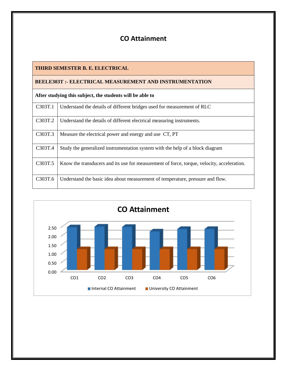### **CO Attainment**

| THIRD SEMESTER B. E. ELECTRICAL                               |                                                                                            |  |  |  |  |  |  |
|---------------------------------------------------------------|--------------------------------------------------------------------------------------------|--|--|--|--|--|--|
| <b>BEELE303T:- ELECTRICAL MEASUREMENT AND INSTRUMENTATION</b> |                                                                                            |  |  |  |  |  |  |
| After studying this subject, the students will be able to     |                                                                                            |  |  |  |  |  |  |
| C303T.1                                                       | Understand the details of different bridges used for measurement of RLC                    |  |  |  |  |  |  |
| C303T.2                                                       | Understand the details of different electrical measuring instruments.                      |  |  |  |  |  |  |
| C303T.3                                                       | Measure the electrical power and energy and use CT, PT                                     |  |  |  |  |  |  |
| C303T.4                                                       | Study the generalized instrumentation system with the help of a block diagram              |  |  |  |  |  |  |
| C303T.5                                                       | Know the transducers and its use for measurement of force, torque, velocity, acceleration. |  |  |  |  |  |  |
| C303T.6                                                       | Understand the basic idea about measurement of temperature, pressure and flow.             |  |  |  |  |  |  |

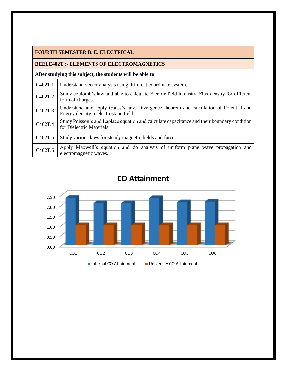#### **FOURTH SEMESTER B. E. ELECTRICAL**

#### **BEELE402T :- ELEMENTS OF ELECTROMAGNETICS**

| C <sub>402</sub> T.1 | Understand vector analysis using different coordinate system.                                                                   |
|----------------------|---------------------------------------------------------------------------------------------------------------------------------|
| C402T.2              | Study coulomb's law and able to calculate Electric field intensity, Flux density for different<br>form of charges.              |
| C402T.3              | Understand and apply Gauss's law, Divergence theorem and calculation of Potential and<br>Energy density in electrostatic field. |
| C402T.4              | Study Poisson's and Laplace equation and calculate capacitance and their boundary condition<br>for Dielectric Materials.        |
| C <sub>402</sub> T.5 | Study various laws for steady magnetic fields and forces.                                                                       |
| C402T.6              | Apply Maxwell's equation and do analysis of uniform plane wave propagation and<br>electromagnetic waves.                        |

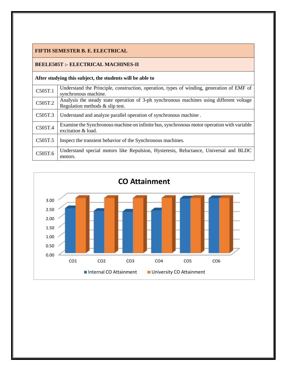#### **FIFTH SEMESTER B. E. ELECTRICAL**

#### **BEELE505T :- ELECTRICAL MACHINES-II**

| C505T.1              | Understand the Principle, construction, operation, types of winding, generation of EMF of<br>synchronous machine.              |
|----------------------|--------------------------------------------------------------------------------------------------------------------------------|
| C505T.2              | Analysis the steady state operation of 3-ph synchronous machines using different voltage<br>Regulation methods $\&$ slip test. |
| C505T.3              | Understand and analyze parallel operation of synchronous machine.                                                              |
| C505T.4              | Examine the Synchronous machine on infinite bus, synchronous motor operation with variable<br>excitation & load.               |
| C <sub>5</sub> 05T.5 | Inspect the transient behavior of the Synchronous machines.                                                                    |
| C505T.6              | Understand special motors like Repulsion, Hysteresis, Reluctance, Universal and BLDC<br>motors.                                |

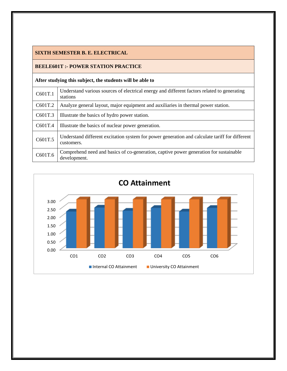#### **SIXTH SEMESTER B. E. ELECTRICAL**

#### **BEELE601T :- POWER STATION PRACTICE**

| C601T.1 | Understand various sources of electrical energy and different factors related to generating<br>stations      |
|---------|--------------------------------------------------------------------------------------------------------------|
| C601T.2 | Analyze general layout, major equipment and auxiliaries in thermal power station.                            |
| C601T.3 | Illustrate the basics of hydro power station.                                                                |
| C601T.4 | Illustrate the basics of nuclear power generation.                                                           |
| C601T.5 | Understand different excitation system for power generation and calculate tariff for different<br>customers. |
| C601T.6 | Comprehend need and basics of co-generation, captive power generation for sustainable<br>development.        |

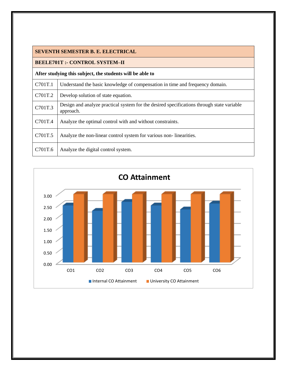|  | <b>SEVENTH SEMESTER B. E. ELECTRICAL</b> |  |  |
|--|------------------------------------------|--|--|
|--|------------------------------------------|--|--|

#### **BEELE701T :- CONTROL SYSTEM–II**

| C701T.1 | Understand the basic knowledge of compensation in time and frequency domain.                           |
|---------|--------------------------------------------------------------------------------------------------------|
| C701T.2 | Develop solution of state equation.                                                                    |
| C701T.3 | Design and analyze practical system for the desired specifications through state variable<br>approach. |
| C701T.4 | Analyze the optimal control with and without constraints.                                              |
| C701T.5 | Analyze the non-linear control system for various non-linearities.                                     |
| C701T.6 | Analyze the digital control system.                                                                    |

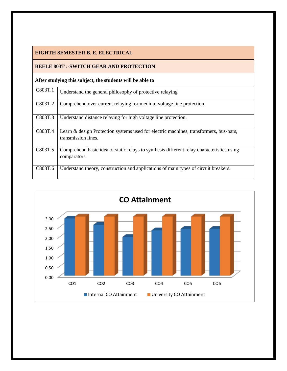#### **EIGHTH SEMESTER B. E. ELECTRICAL**

#### **BEELE 803T :-SWITCH GEAR AND PROTECTION**

| C803T.1 | Understand the general philosophy of protective relaying                                                     |
|---------|--------------------------------------------------------------------------------------------------------------|
| C803T.2 | Comprehend over current relaying for medium voltage line protection                                          |
| C803T.3 | Understand distance relaying for high voltage line protection.                                               |
| C803T.4 | Learn & design Protection systems used for electric machines, transformers, bus-bars,<br>transmission lines. |
| C803T.5 | Comprehend basic idea of static relays to synthesis different relay characteristics using<br>comparators     |
| C803T.6 | Understand theory, construction and applications of main types of circuit breakers.                          |